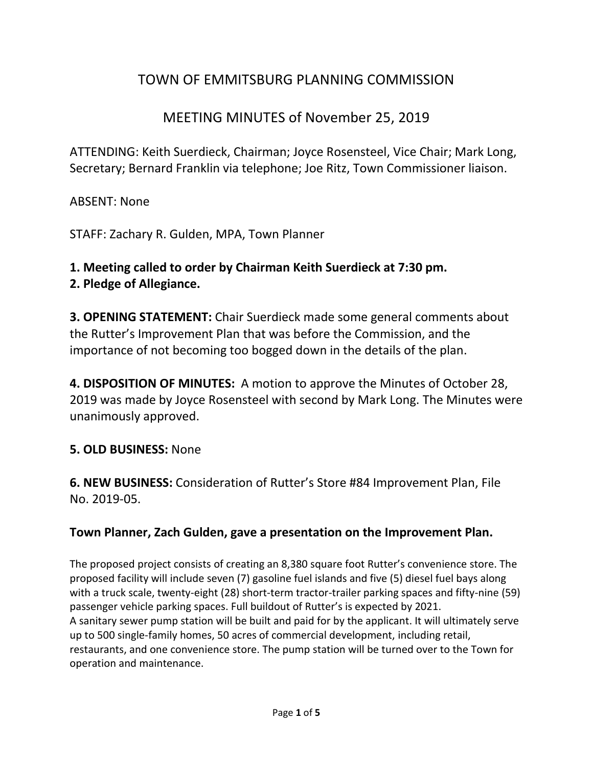# TOWN OF EMMITSBURG PLANNING COMMISSION

# MEETING MINUTES of November 25, 2019

ATTENDING: Keith Suerdieck, Chairman; Joyce Rosensteel, Vice Chair; Mark Long, Secretary; Bernard Franklin via telephone; Joe Ritz, Town Commissioner liaison.

ABSENT: None

STAFF: Zachary R. Gulden, MPA, Town Planner

## **1. Meeting called to order by Chairman Keith Suerdieck at 7:30 pm.**

## **2. Pledge of Allegiance.**

**3. OPENING STATEMENT:** Chair Suerdieck made some general comments about the Rutter's Improvement Plan that was before the Commission, and the importance of not becoming too bogged down in the details of the plan.

**4. DISPOSITION OF MINUTES:** A motion to approve the Minutes of October 28, 2019 was made by Joyce Rosensteel with second by Mark Long. The Minutes were unanimously approved.

## **5. OLD BUSINESS:** None

**6. NEW BUSINESS:** Consideration of Rutter's Store #84 Improvement Plan, File No. 2019-05.

## **Town Planner, Zach Gulden, gave a presentation on the Improvement Plan.**

The proposed project consists of creating an 8,380 square foot Rutter's convenience store. The proposed facility will include seven (7) gasoline fuel islands and five (5) diesel fuel bays along with a truck scale, twenty-eight (28) short-term tractor-trailer parking spaces and fifty-nine (59) passenger vehicle parking spaces. Full buildout of Rutter's is expected by 2021. A sanitary sewer pump station will be built and paid for by the applicant. It will ultimately serve up to 500 single-family homes, 50 acres of commercial development, including retail, restaurants, and one convenience store. The pump station will be turned over to the Town for operation and maintenance.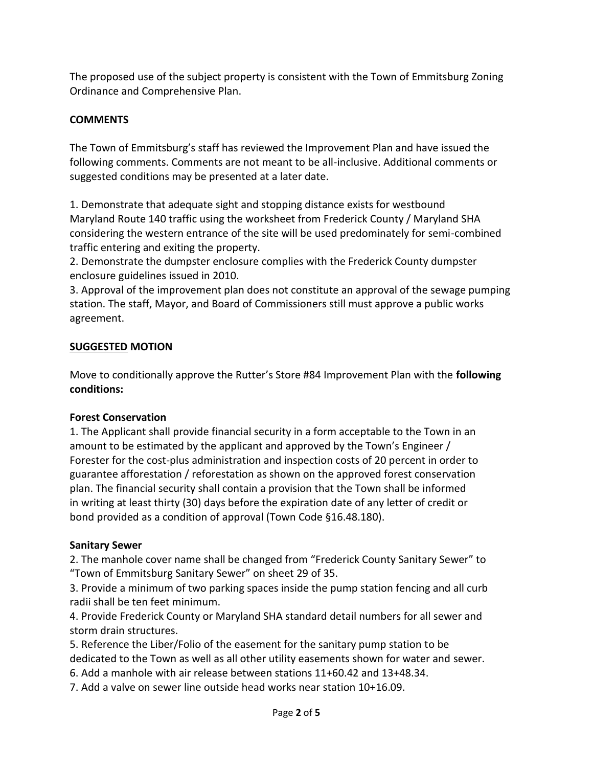The proposed use of the subject property is consistent with the Town of Emmitsburg Zoning Ordinance and Comprehensive Plan.

#### **COMMENTS**

The Town of Emmitsburg's staff has reviewed the Improvement Plan and have issued the following comments. Comments are not meant to be all-inclusive. Additional comments or suggested conditions may be presented at a later date.

1. Demonstrate that adequate sight and stopping distance exists for westbound Maryland Route 140 traffic using the worksheet from Frederick County / Maryland SHA considering the western entrance of the site will be used predominately for semi-combined traffic entering and exiting the property.

2. Demonstrate the dumpster enclosure complies with the Frederick County dumpster enclosure guidelines issued in 2010.

3. Approval of the improvement plan does not constitute an approval of the sewage pumping station. The staff, Mayor, and Board of Commissioners still must approve a public works agreement.

#### **SUGGESTED MOTION**

Move to conditionally approve the Rutter's Store #84 Improvement Plan with the **following conditions:**

#### **Forest Conservation**

1. The Applicant shall provide financial security in a form acceptable to the Town in an amount to be estimated by the applicant and approved by the Town's Engineer / Forester for the cost-plus administration and inspection costs of 20 percent in order to guarantee afforestation / reforestation as shown on the approved forest conservation plan. The financial security shall contain a provision that the Town shall be informed in writing at least thirty (30) days before the expiration date of any letter of credit or bond provided as a condition of approval (Town Code §16.48.180).

#### **Sanitary Sewer**

2. The manhole cover name shall be changed from "Frederick County Sanitary Sewer" to "Town of Emmitsburg Sanitary Sewer" on sheet 29 of 35.

3. Provide a minimum of two parking spaces inside the pump station fencing and all curb radii shall be ten feet minimum.

4. Provide Frederick County or Maryland SHA standard detail numbers for all sewer and storm drain structures.

5. Reference the Liber/Folio of the easement for the sanitary pump station to be dedicated to the Town as well as all other utility easements shown for water and sewer.

6. Add a manhole with air release between stations 11+60.42 and 13+48.34.

7. Add a valve on sewer line outside head works near station 10+16.09.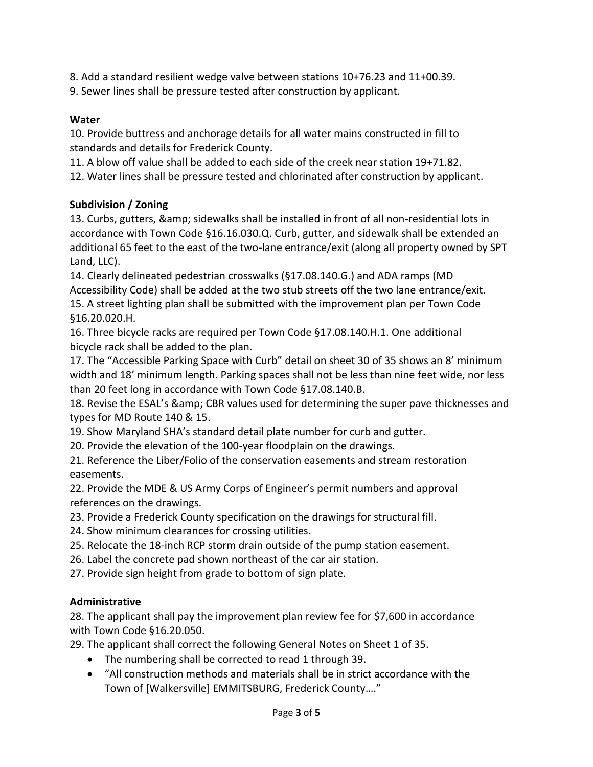8. Add a standard resilient wedge valve between stations 10+76.23 and 11+00.39.

9. Sewer lines shall be pressure tested after construction by applicant.

### **Water**

10. Provide buttress and anchorage details for all water mains constructed in fill to standards and details for Frederick County.

11. A blow off value shall be added to each side of the creek near station 19+71.82.

12. Water lines shall be pressure tested and chlorinated after construction by applicant.

### **Subdivision / Zoning**

13. Curbs, gutters, & sidewalks shall be installed in front of all non-residential lots in accordance with Town Code §16.16.030.Q. Curb, gutter, and sidewalk shall be extended an additional 65 feet to the east of the two-lane entrance/exit (along all property owned by SPT Land, LLC).

14. Clearly delineated pedestrian crosswalks (§17.08.140.G.) and ADA ramps (MD Accessibility Code) shall be added at the two stub streets off the two lane entrance/exit. 15. A street lighting plan shall be submitted with the improvement plan per Town Code §16.20.020.H.

16. Three bicycle racks are required per Town Code §17.08.140.H.1. One additional bicycle rack shall be added to the plan.

17. The "Accessible Parking Space with Curb" detail on sheet 30 of 35 shows an 8' minimum width and 18' minimum length. Parking spaces shall not be less than nine feet wide, nor less than 20 feet long in accordance with Town Code §17.08.140.B.

18. Revise the ESAL's & amp; CBR values used for determining the super pave thicknesses and types for MD Route 140 & 15.

19. Show Maryland SHA's standard detail plate number for curb and gutter.

20. Provide the elevation of the 100-year floodplain on the drawings.

21. Reference the Liber/Folio of the conservation easements and stream restoration easements.

22. Provide the MDE & US Army Corps of Engineer's permit numbers and approval references on the drawings.

23. Provide a Frederick County specification on the drawings for structural fill.

24. Show minimum clearances for crossing utilities.

25. Relocate the 18-inch RCP storm drain outside of the pump station easement.

26. Label the concrete pad shown northeast of the car air station.

27. Provide sign height from grade to bottom of sign plate.

### **Administrative**

28. The applicant shall pay the improvement plan review fee for \$7,600 in accordance with Town Code §16.20.050.

29. The applicant shall correct the following General Notes on Sheet 1 of 35.

- The numbering shall be corrected to read 1 through 39.
- "All construction methods and materials shall be in strict accordance with the Town of [Walkersville] EMMITSBURG, Frederick County…."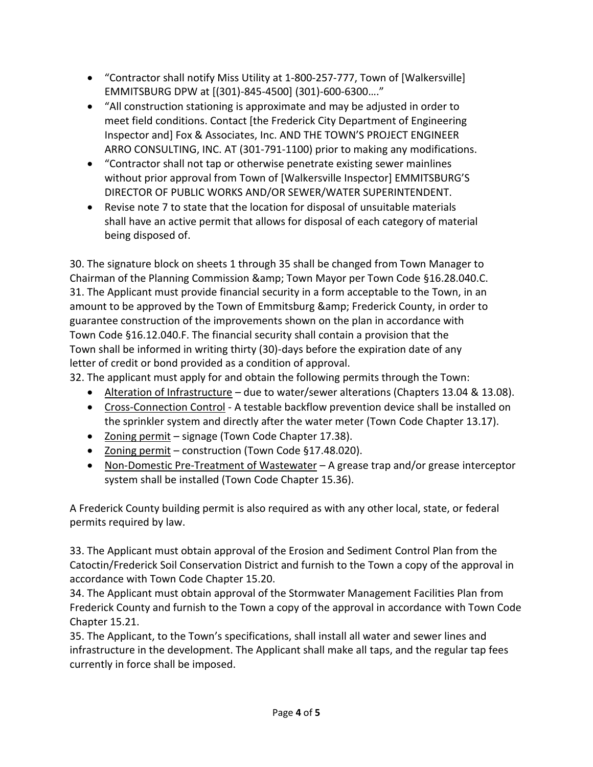- "Contractor shall notify Miss Utility at 1-800-257-777, Town of [Walkersville] EMMITSBURG DPW at [(301)-845-4500] (301)-600-6300…."
- "All construction stationing is approximate and may be adjusted in order to meet field conditions. Contact [the Frederick City Department of Engineering Inspector and] Fox & Associates, Inc. AND THE TOWN'S PROJECT ENGINEER ARRO CONSULTING, INC. AT (301-791-1100) prior to making any modifications.
- "Contractor shall not tap or otherwise penetrate existing sewer mainlines without prior approval from Town of [Walkersville Inspector] EMMITSBURG'S DIRECTOR OF PUBLIC WORKS AND/OR SEWER/WATER SUPERINTENDENT.
- Revise note 7 to state that the location for disposal of unsuitable materials shall have an active permit that allows for disposal of each category of material being disposed of.

30. The signature block on sheets 1 through 35 shall be changed from Town Manager to Chairman of the Planning Commission & amp; Town Mayor per Town Code §16.28.040.C. 31. The Applicant must provide financial security in a form acceptable to the Town, in an amount to be approved by the Town of Emmitsburg & amp; Frederick County, in order to guarantee construction of the improvements shown on the plan in accordance with Town Code §16.12.040.F. The financial security shall contain a provision that the Town shall be informed in writing thirty (30)-days before the expiration date of any letter of credit or bond provided as a condition of approval.

32. The applicant must apply for and obtain the following permits through the Town:

- Alteration of Infrastructure due to water/sewer alterations (Chapters 13.04 & 13.08).
- Cross-Connection Control A testable backflow prevention device shall be installed on the sprinkler system and directly after the water meter (Town Code Chapter 13.17).
- Zoning permit signage (Town Code Chapter 17.38).
- Zoning permit construction (Town Code §17.48.020).
- Non-Domestic Pre-Treatment of Wastewater A grease trap and/or grease interceptor system shall be installed (Town Code Chapter 15.36).

A Frederick County building permit is also required as with any other local, state, or federal permits required by law.

33. The Applicant must obtain approval of the Erosion and Sediment Control Plan from the Catoctin/Frederick Soil Conservation District and furnish to the Town a copy of the approval in accordance with Town Code Chapter 15.20.

34. The Applicant must obtain approval of the Stormwater Management Facilities Plan from Frederick County and furnish to the Town a copy of the approval in accordance with Town Code Chapter 15.21.

35. The Applicant, to the Town's specifications, shall install all water and sewer lines and infrastructure in the development. The Applicant shall make all taps, and the regular tap fees currently in force shall be imposed.